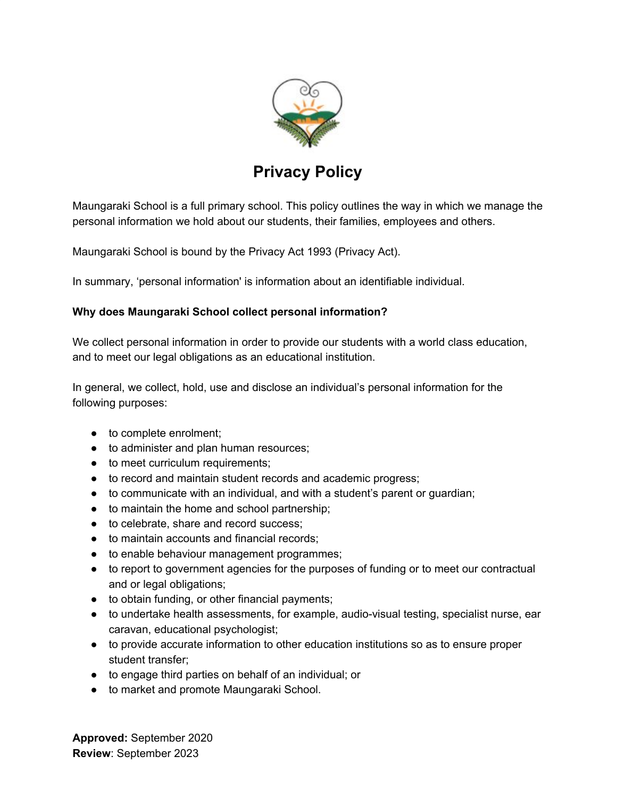

# **Privacy Policy**

Maungaraki School is a full primary school. This policy outlines the way in which we manage the personal information we hold about our students, their families, employees and others.

Maungaraki School is bound by the Privacy Act 1993 (Privacy Act).

In summary, 'personal information' is information about an identifiable individual.

# **Why does Maungaraki School collect personal information?**

We collect personal information in order to provide our students with a world class education, and to meet our legal obligations as an educational institution.

In general, we collect, hold, use and disclose an individual's personal information for the following purposes:

- to complete enrolment;
- to administer and plan human resources;
- to meet curriculum requirements;
- to record and maintain student records and academic progress;
- to communicate with an individual, and with a student's parent or guardian;
- to maintain the home and school partnership;
- to celebrate, share and record success:
- to maintain accounts and financial records:
- to enable behaviour management programmes;
- to report to government agencies for the purposes of funding or to meet our contractual and or legal obligations;
- to obtain funding, or other financial payments;
- to undertake health assessments, for example, audio-visual testing, specialist nurse, ear caravan, educational psychologist;
- to provide accurate information to other education institutions so as to ensure proper student transfer;
- to engage third parties on behalf of an individual; or
- to market and promote Maungaraki School.

**Approved:** September 2020 **Review**: September 2023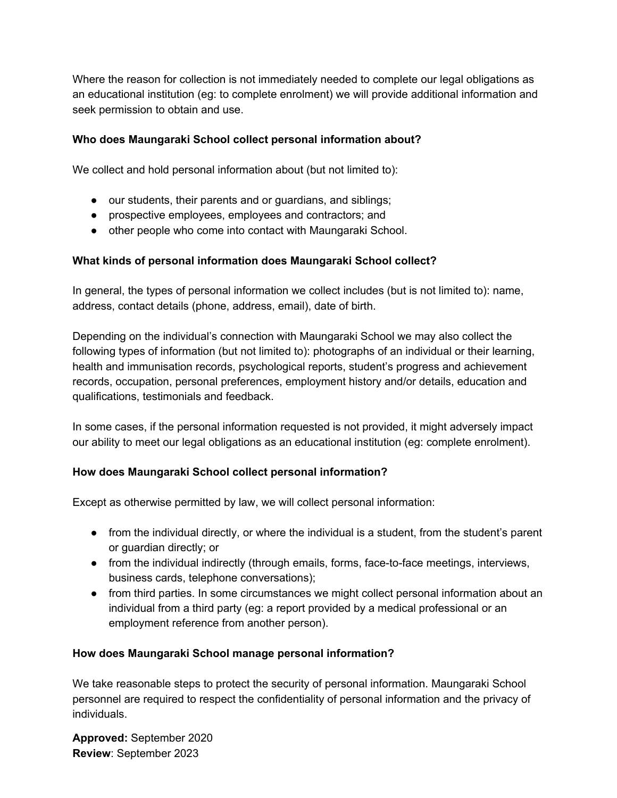Where the reason for collection is not immediately needed to complete our legal obligations as an educational institution (eg: to complete enrolment) we will provide additional information and seek permission to obtain and use.

### **Who does Maungaraki School collect personal information about?**

We collect and hold personal information about (but not limited to):

- our students, their parents and or guardians, and siblings;
- prospective employees, employees and contractors; and
- other people who come into contact with Maungaraki School.

# **What kinds of personal information does Maungaraki School collect?**

In general, the types of personal information we collect includes (but is not limited to): name, address, contact details (phone, address, email), date of birth.

Depending on the individual's connection with Maungaraki School we may also collect the following types of information (but not limited to): photographs of an individual or their learning, health and immunisation records, psychological reports, student's progress and achievement records, occupation, personal preferences, employment history and/or details, education and qualifications, testimonials and feedback.

In some cases, if the personal information requested is not provided, it might adversely impact our ability to meet our legal obligations as an educational institution (eg: complete enrolment).

#### **How does Maungaraki School collect personal information?**

Except as otherwise permitted by law, we will collect personal information:

- from the individual directly, or where the individual is a student, from the student's parent or guardian directly; or
- from the individual indirectly (through emails, forms, face-to-face meetings, interviews, business cards, telephone conversations);
- from third parties. In some circumstances we might collect personal information about an individual from a third party (eg: a report provided by a medical professional or an employment reference from another person).

#### **How does Maungaraki School manage personal information?**

We take reasonable steps to protect the security of personal information. Maungaraki School personnel are required to respect the confidentiality of personal information and the privacy of individuals.

**Approved:** September 2020 **Review**: September 2023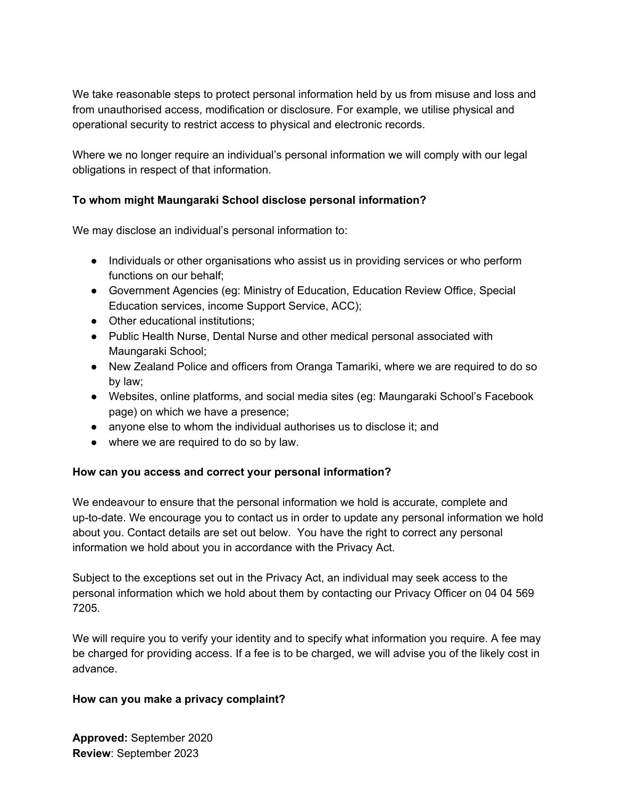We take reasonable steps to protect personal information held by us from misuse and loss and from unauthorised access, modification or disclosure. For example, we utilise physical and operational security to restrict access to physical and electronic records.

Where we no longer require an individual's personal information we will comply with our legal obligations in respect of that information.

#### **To whom might Maungaraki School disclose personal information?**

We may disclose an individual's personal information to:

- Individuals or other organisations who assist us in providing services or who perform functions on our behalf;
- Government Agencies (eg: Ministry of Education, Education Review Office, Special Education services, income Support Service, ACC);
- Other educational institutions:
- Public Health Nurse, Dental Nurse and other medical personal associated with Maungaraki School;
- New Zealand Police and officers from Oranga Tamariki, where we are required to do so by law;
- Websites, online platforms, and social media sites (eg: Maungaraki School's Facebook page) on which we have a presence;
- anyone else to whom the individual authorises us to disclose it; and
- where we are required to do so by law.

#### **How can you access and correct your personal information?**

We endeavour to ensure that the personal information we hold is accurate, complete and up-to-date. We encourage you to contact us in order to update any personal information we hold about you. Contact details are set out below. You have the right to correct any personal information we hold about you in accordance with the Privacy Act.

Subject to the exceptions set out in the Privacy Act, an individual may seek access to the personal information which we hold about them by contacting our Privacy Officer on 04 04 569 7205.

We will require you to verify your identity and to specify what information you require. A fee may be charged for providing access. If a fee is to be charged, we will advise you of the likely cost in advance.

#### **How can you make a privacy complaint?**

**Approved:** September 2020 **Review**: September 2023